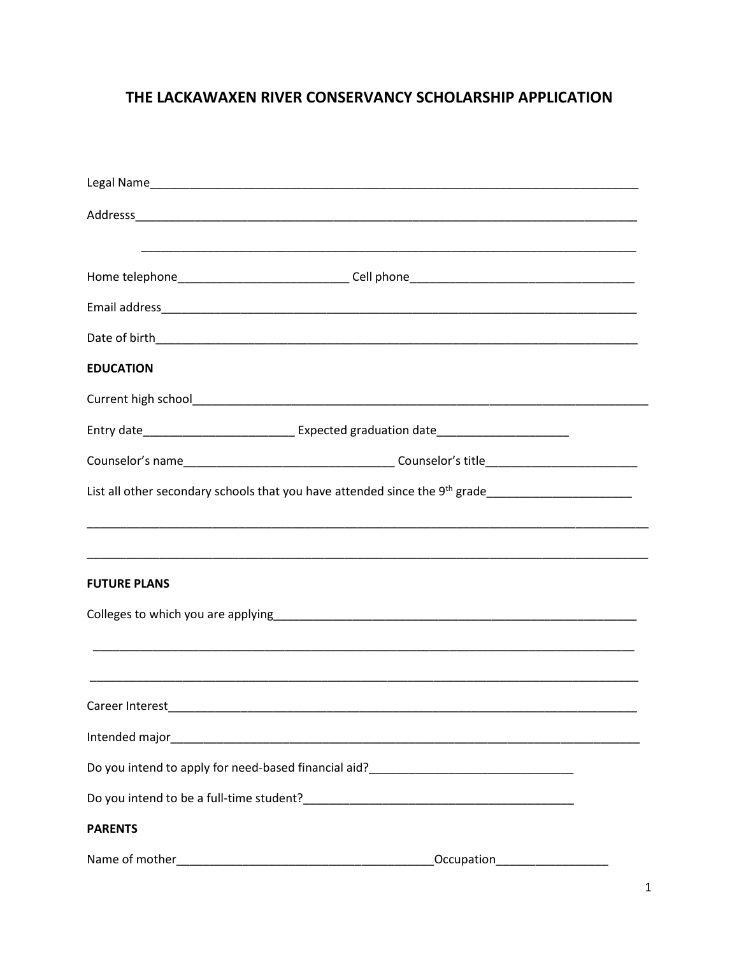# THE LACKAWAXEN RIVER CONSERVANCY SCHOLARSHIP APPLICATION

| <b>EDUCATION</b>    |                                                                                                     |  |
|---------------------|-----------------------------------------------------------------------------------------------------|--|
|                     |                                                                                                     |  |
|                     | Entry date__________________________________Expected graduation date_______________________________ |  |
|                     |                                                                                                     |  |
|                     |                                                                                                     |  |
|                     |                                                                                                     |  |
| <b>FUTURE PLANS</b> |                                                                                                     |  |
|                     |                                                                                                     |  |
|                     |                                                                                                     |  |
| Career Interest     |                                                                                                     |  |
|                     |                                                                                                     |  |
|                     |                                                                                                     |  |
|                     |                                                                                                     |  |
| <b>PARENTS</b>      |                                                                                                     |  |
|                     | Occupation____________________                                                                      |  |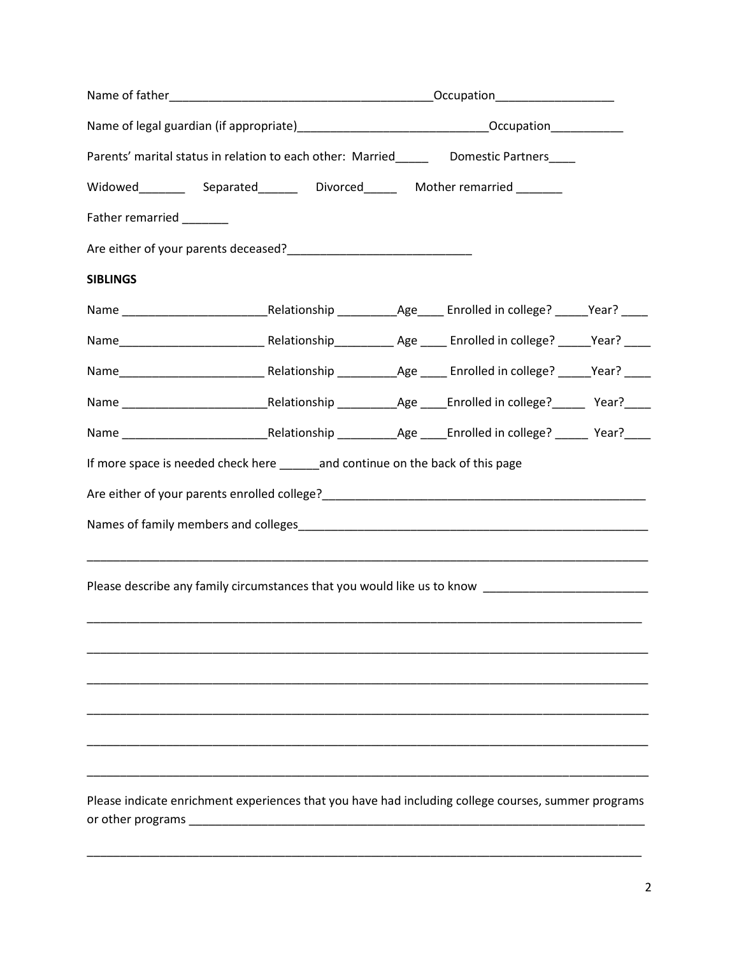| Name of legal guardian (if appropriate)_________________________________Occupation_________________ |                                                                                                                  |  |  |  |  |
|-----------------------------------------------------------------------------------------------------|------------------------------------------------------------------------------------------------------------------|--|--|--|--|
| Parents' marital status in relation to each other: Married________ Domestic Partners____            |                                                                                                                  |  |  |  |  |
| Widowed Separated Divorced Mother remarried                                                         |                                                                                                                  |  |  |  |  |
| Father remarried _______                                                                            |                                                                                                                  |  |  |  |  |
|                                                                                                     |                                                                                                                  |  |  |  |  |
| <b>SIBLINGS</b>                                                                                     |                                                                                                                  |  |  |  |  |
|                                                                                                     |                                                                                                                  |  |  |  |  |
|                                                                                                     |                                                                                                                  |  |  |  |  |
|                                                                                                     |                                                                                                                  |  |  |  |  |
|                                                                                                     |                                                                                                                  |  |  |  |  |
|                                                                                                     |                                                                                                                  |  |  |  |  |
|                                                                                                     | If more space is needed check here _______and continue on the back of this page                                  |  |  |  |  |
|                                                                                                     |                                                                                                                  |  |  |  |  |
|                                                                                                     |                                                                                                                  |  |  |  |  |
|                                                                                                     |                                                                                                                  |  |  |  |  |
|                                                                                                     | Please describe any family circumstances that you would like us to know ___________________________              |  |  |  |  |
|                                                                                                     |                                                                                                                  |  |  |  |  |
|                                                                                                     |                                                                                                                  |  |  |  |  |
|                                                                                                     |                                                                                                                  |  |  |  |  |
|                                                                                                     |                                                                                                                  |  |  |  |  |
|                                                                                                     |                                                                                                                  |  |  |  |  |
|                                                                                                     |                                                                                                                  |  |  |  |  |
|                                                                                                     | Please indicate enrichment experiences that you have had including college courses, summer programs              |  |  |  |  |
|                                                                                                     | or other programs experience and the contract of the contract of the contract of the contract of the contract of |  |  |  |  |

\_\_\_\_\_\_\_\_\_\_\_\_\_\_\_\_\_\_\_\_\_\_\_\_\_\_\_\_\_\_\_\_\_\_\_\_\_\_\_\_\_\_\_\_\_\_\_\_\_\_\_\_\_\_\_\_\_\_\_\_\_\_\_\_\_\_\_\_\_\_\_\_\_\_\_\_\_\_\_\_\_\_\_\_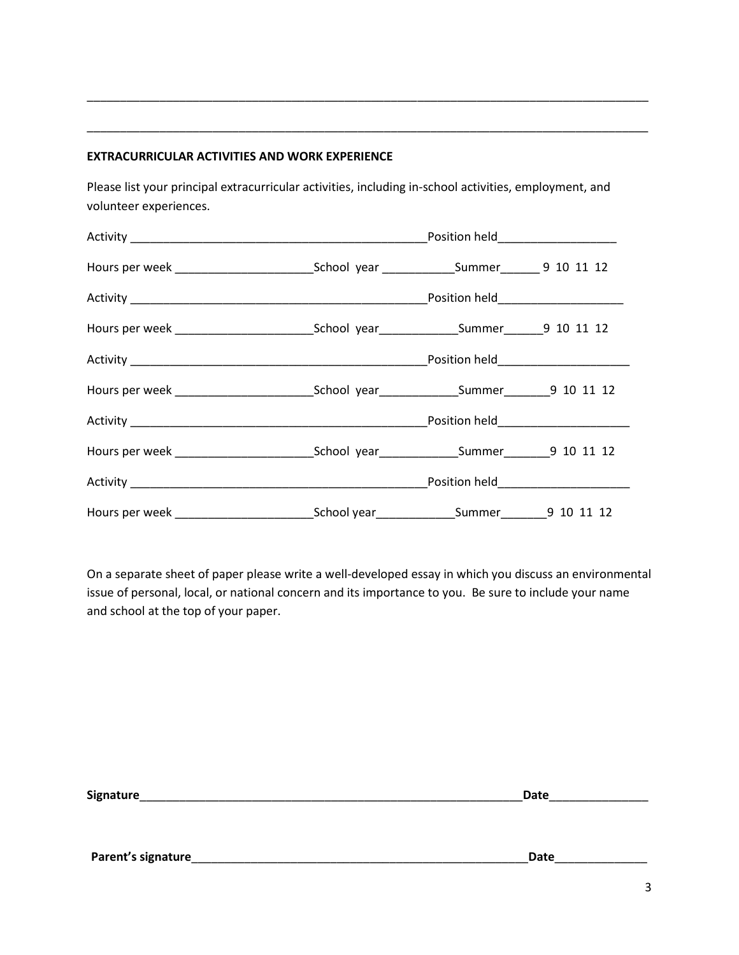#### **EXTRACURRICULAR ACTIVITIES AND WORK EXPERIENCE**

Please list your principal extracurricular activities, including in-school activities, employment, and volunteer experiences.

\_\_\_\_\_\_\_\_\_\_\_\_\_\_\_\_\_\_\_\_\_\_\_\_\_\_\_\_\_\_\_\_\_\_\_\_\_\_\_\_\_\_\_\_\_\_\_\_\_\_\_\_\_\_\_\_\_\_\_\_\_\_\_\_\_\_\_\_\_\_\_\_\_\_\_\_\_\_\_\_\_\_\_\_\_

\_\_\_\_\_\_\_\_\_\_\_\_\_\_\_\_\_\_\_\_\_\_\_\_\_\_\_\_\_\_\_\_\_\_\_\_\_\_\_\_\_\_\_\_\_\_\_\_\_\_\_\_\_\_\_\_\_\_\_\_\_\_\_\_\_\_\_\_\_\_\_\_\_\_\_\_\_\_\_\_\_\_\_\_\_

|  | Position held_____________________ |  |
|--|------------------------------------|--|
|  |                                    |  |
|  |                                    |  |
|  |                                    |  |
|  |                                    |  |
|  |                                    |  |
|  |                                    |  |
|  |                                    |  |
|  |                                    |  |
|  |                                    |  |

On a separate sheet of paper please write a well-developed essay in which you discuss an environmental issue of personal, local, or national concern and its importance to you. Be sure to include your name and school at the top of your paper.

| <b>Signature</b> | `-- |
|------------------|-----|
|                  |     |

**Parent's signature**\_\_\_\_\_\_\_\_\_\_\_\_\_\_\_\_\_\_\_\_\_\_\_\_\_\_\_\_\_\_\_\_\_\_\_\_\_\_\_\_\_\_\_\_\_\_\_\_\_\_\_**Date**\_\_\_\_\_\_\_\_\_\_\_\_\_\_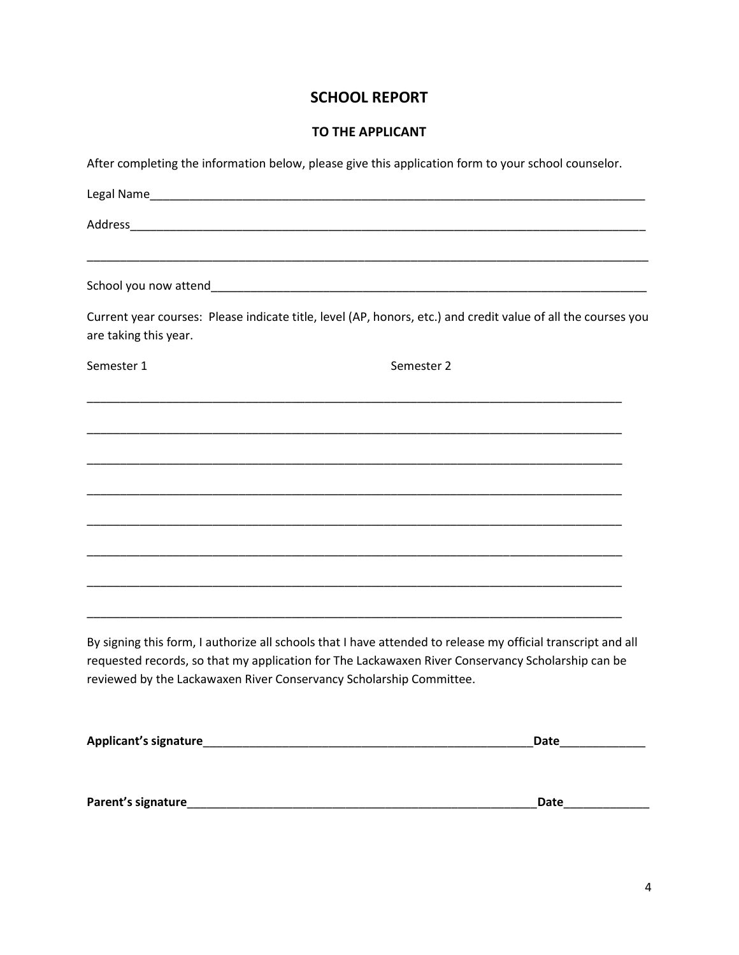## **SCHOOL REPORT**

### **TO THE APPLICANT**

After completing the information below, please give this application form to your school counselor.

| <u> 1989 - Johann Stoff, amerikansk politiker (d. 1989)</u>                                                                                                                                                                                                                              |                   |
|------------------------------------------------------------------------------------------------------------------------------------------------------------------------------------------------------------------------------------------------------------------------------------------|-------------------|
| Current year courses: Please indicate title, level (AP, honors, etc.) and credit value of all the courses you<br>are taking this year.                                                                                                                                                   |                   |
| Semester 1                                                                                                                                                                                                                                                                               | Semester 2        |
|                                                                                                                                                                                                                                                                                          |                   |
|                                                                                                                                                                                                                                                                                          |                   |
|                                                                                                                                                                                                                                                                                          |                   |
|                                                                                                                                                                                                                                                                                          |                   |
|                                                                                                                                                                                                                                                                                          |                   |
| By signing this form, I authorize all schools that I have attended to release my official transcript and all<br>requested records, so that my application for The Lackawaxen River Conservancy Scholarship can be<br>reviewed by the Lackawaxen River Conservancy Scholarship Committee. |                   |
| Applicant's signature expansion of the state of the state of the state of the state of the state of the state o                                                                                                                                                                          | Date ____________ |
| Parent's signature experience and the set of the set of the set of the set of the set of the set of the set of                                                                                                                                                                           | Date              |